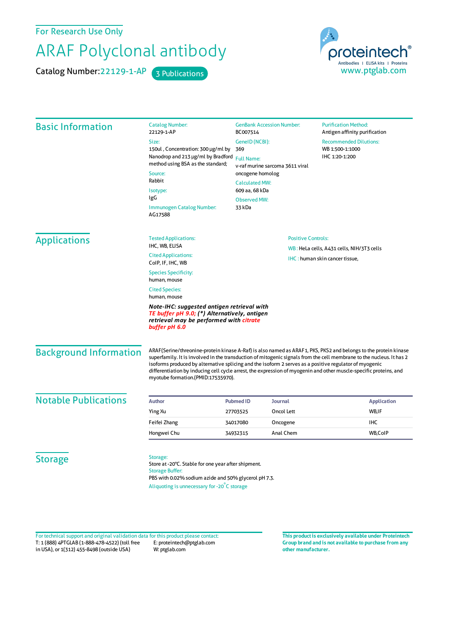For Research Use Only

## ARAF Polyclonal antibody

Catalog Number: 22129-1-AP 3 Publications



| <b>Basic Information</b>    | <b>Catalog Number:</b><br>22129-1-AP                                                                                                                                                                   | <b>GenBank Accession Number:</b><br>BC007514                                                                                                                                                                                                                                                                                                                                                                                                                                                                 |                                                                             | <b>Purification Method:</b><br>Antigen affinity purification       |
|-----------------------------|--------------------------------------------------------------------------------------------------------------------------------------------------------------------------------------------------------|--------------------------------------------------------------------------------------------------------------------------------------------------------------------------------------------------------------------------------------------------------------------------------------------------------------------------------------------------------------------------------------------------------------------------------------------------------------------------------------------------------------|-----------------------------------------------------------------------------|--------------------------------------------------------------------|
|                             | Size:<br>150ul, Concentration: 300 µg/ml by<br>Nanodrop and 213 µg/ml by Bradford<br>method using BSA as the standard;<br>Source:<br>Rabbit<br>Isotype:<br>IgG<br>Immunogen Catalog Number:<br>AG17588 | GenelD (NCBI):<br>369<br><b>Full Name:</b><br>v-raf murine sarcoma 3611 viral<br>oncogene homolog<br><b>Calculated MW:</b><br>609 aa, 68 kDa<br><b>Observed MW:</b><br>33 kDa                                                                                                                                                                                                                                                                                                                                |                                                                             | <b>Recommended Dilutions:</b><br>WB 1:500-1:1000<br>IHC 1:20-1:200 |
| <b>Applications</b>         | <b>Tested Applications:</b><br>IHC, WB, ELISA                                                                                                                                                          | <b>Positive Controls:</b>                                                                                                                                                                                                                                                                                                                                                                                                                                                                                    |                                                                             |                                                                    |
|                             | <b>Cited Applications:</b><br>ColP, IF, IHC, WB                                                                                                                                                        |                                                                                                                                                                                                                                                                                                                                                                                                                                                                                                              | WB: HeLa cells, A431 cells, NIH/3T3 cells<br>IHC: human skin cancer tissue, |                                                                    |
|                             | <b>Species Specificity:</b><br>human, mouse<br><b>Cited Species:</b><br>human, mouse                                                                                                                   |                                                                                                                                                                                                                                                                                                                                                                                                                                                                                                              |                                                                             |                                                                    |
|                             |                                                                                                                                                                                                        |                                                                                                                                                                                                                                                                                                                                                                                                                                                                                                              |                                                                             |                                                                    |
|                             | <b>Background Information</b>                                                                                                                                                                          | ARAF(Serine/threonine-protein kinase A-Raf) is also named as ARAF1, PKS, PKS2 and belongs to the protein kinase<br>superfamily. It is involved in the transduction of mitogenic signals from the cell membrane to the nucleus. It has 2<br>isoforms produced by alternative splicing and the isoform 2 serves as a positive regulator of myogenic<br>differentiation by inducing cell cycle arrest, the expression of myogenin and other muscle-specific proteins, and<br>myotube formation.(PMID:17535970). |                                                                             |                                                                    |
| <b>Notable Publications</b> | <b>Author</b>                                                                                                                                                                                          | <b>Pubmed ID</b>                                                                                                                                                                                                                                                                                                                                                                                                                                                                                             | Journal                                                                     | <b>Application</b>                                                 |
|                             | Ying Xu                                                                                                                                                                                                | 27703525                                                                                                                                                                                                                                                                                                                                                                                                                                                                                                     | Oncol Lett                                                                  | WB,IF                                                              |
|                             | Feifei Zhang                                                                                                                                                                                           | 34017080                                                                                                                                                                                                                                                                                                                                                                                                                                                                                                     | Oncogene                                                                    | <b>IHC</b>                                                         |
|                             | Hongwei Chu                                                                                                                                                                                            | 34932315                                                                                                                                                                                                                                                                                                                                                                                                                                                                                                     | Anal Chem                                                                   | WB,CoIP                                                            |
|                             |                                                                                                                                                                                                        |                                                                                                                                                                                                                                                                                                                                                                                                                                                                                                              |                                                                             |                                                                    |

T: 1 (888) 4PTGLAB (1-888-478-4522) (toll free in USA), or 1(312) 455-8498 (outside USA) E: proteintech@ptglab.com W: ptglab.com Fortechnical support and original validation data forthis product please contact: **This productis exclusively available under Proteintech**

**Group brand and is not available to purchase from any other manufacturer.**